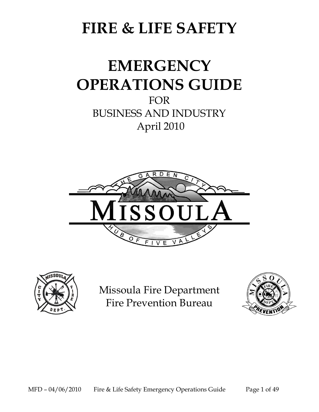# **FIRE & LIFE SAFETY**

# **EMERGENCY OPERATIONS GUIDE**

FOR BUSINESS AND INDUSTRY April 2010





Missoula Fire Department Fire Prevention Bureau

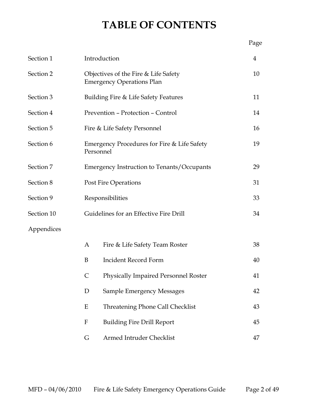## **TABLE OF CONTENTS**

| Section 1  |                  | Introduction                                                             | $\overline{4}$ |
|------------|------------------|--------------------------------------------------------------------------|----------------|
| Section 2  |                  | Objectives of the Fire & Life Safety<br><b>Emergency Operations Plan</b> | 10             |
| Section 3  |                  | Building Fire & Life Safety Features                                     | 11             |
| Section 4  |                  | Prevention - Protection - Control                                        | 14             |
| Section 5  |                  | Fire & Life Safety Personnel                                             | 16             |
| Section 6  | Personnel        | Emergency Procedures for Fire & Life Safety                              | 19             |
| Section 7  |                  | Emergency Instruction to Tenants/Occupants                               | 29             |
| Section 8  |                  | Post Fire Operations                                                     | 31             |
| Section 9  | Responsibilities |                                                                          | 33             |
| Section 10 |                  | Guidelines for an Effective Fire Drill                                   | 34             |
| Appendices |                  |                                                                          |                |
|            | A                | Fire & Life Safety Team Roster                                           | 38             |
|            | B                | <b>Incident Record Form</b>                                              | 40             |
|            | C                | Physically Impaired Personnel Roster                                     | 41             |
|            | D                | Sample Emergency Messages                                                | 42             |
|            | Ε                | <b>Threatening Phone Call Checklist</b>                                  | 43             |
|            | F                | <b>Building Fire Drill Report</b>                                        | 45             |
|            | G                | Armed Intruder Checklist                                                 | 47             |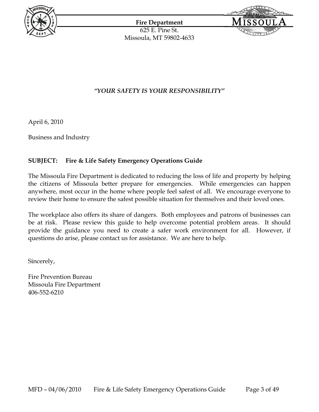

**Fire Department**





## *"YOUR SAFETY IS YOUR RESPONSIBILITY"*

April 6, 2010

Business and Industry

## **SUBJECT: Fire & Life Safety Emergency Operations Guide**

The Missoula Fire Department is dedicated to reducing the loss of life and property by helping the citizens of Missoula better prepare for emergencies. While emergencies can happen anywhere, most occur in the home where people feel safest of all. We encourage everyone to review their home to ensure the safest possible situation for themselves and their loved ones.

The workplace also offers its share of dangers. Both employees and patrons of businesses can be at risk. Please review this guide to help overcome potential problem areas. It should provide the guidance you need to create a safer work environment for all. However, if questions do arise, please contact us for assistance. We are here to help.

Sincerely,

Fire Prevention Bureau Missoula Fire Department 406-552-6210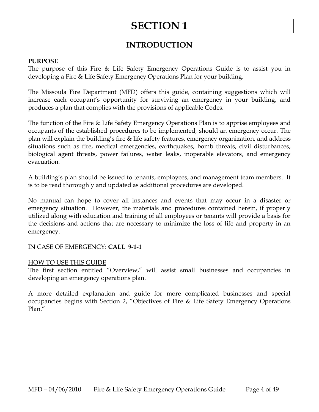## **INTRODUCTION**

#### **PURPOSE**

The purpose of this Fire & Life Safety Emergency Operations Guide is to assist you in developing a Fire & Life Safety Emergency Operations Plan for your building.

The Missoula Fire Department (MFD) offers this guide, containing suggestions which will increase each occupant's opportunity for surviving an emergency in your building, and produces a plan that complies with the provisions of applicable Codes.

The function of the Fire & Life Safety Emergency Operations Plan is to apprise employees and occupants of the established procedures to be implemented, should an emergency occur. The plan will explain the building's fire & life safety features, emergency organization, and address situations such as fire, medical emergencies, earthquakes, bomb threats, civil disturbances, biological agent threats, power failures, water leaks, inoperable elevators, and emergency evacuation.

A building's plan should be issued to tenants, employees, and management team members. It is to be read thoroughly and updated as additional procedures are developed.

No manual can hope to cover all instances and events that may occur in a disaster or emergency situation. However, the materials and procedures contained herein, if properly utilized along with education and training of all employees or tenants will provide a basis for the decisions and actions that are necessary to minimize the loss of life and property in an emergency.

IN CASE OF EMERGENCY: **CALL 9-1-1**

## HOW TO USE THIS GUIDE

The first section entitled "Overview," will assist small businesses and occupancies in developing an emergency operations plan.

A more detailed explanation and guide for more complicated businesses and special occupancies begins with Section 2, "Objectives of Fire & Life Safety Emergency Operations Plan."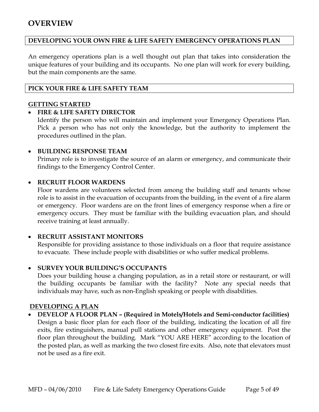## **OVERVIEW**

#### **DEVELOPING YOUR OWN FIRE & LIFE SAFETY EMERGENCY OPERATIONS PLAN**

An emergency operations plan is a well thought out plan that takes into consideration the unique features of your building and its occupants. No one plan will work for every building, but the main components are the same.

#### **PICK YOUR FIRE & LIFE SAFETY TEAM**

#### **GETTING STARTED**

## **FIRE & LIFE SAFETY DIRECTOR**

Identify the person who will maintain and implement your Emergency Operations Plan. Pick a person who has not only the knowledge, but the authority to implement the procedures outlined in the plan.

#### **BUILDING RESPONSE TEAM**

Primary role is to investigate the source of an alarm or emergency, and communicate their findings to the Emergency Control Center.

#### **RECRUIT FLOOR WARDENS**

Floor wardens are volunteers selected from among the building staff and tenants whose role is to assist in the evacuation of occupants from the building, in the event of a fire alarm or emergency. Floor wardens are on the front lines of emergency response when a fire or emergency occurs. They must be familiar with the building evacuation plan, and should receive training at least annually.

## **RECRUIT ASSISTANT MONITORS**

Responsible for providing assistance to those individuals on a floor that require assistance to evacuate. These include people with disabilities or who suffer medical problems.

## **SURVEY YOUR BUILDING'S OCCUPANTS**

Does your building house a changing population, as in a retail store or restaurant, or will the building occupants be familiar with the facility? Note any special needs that individuals may have, such as non-English speaking or people with disabilities.

#### **DEVELOPING A PLAN**

 **DEVELOP A FLOOR PLAN – (Required in Motels/Hotels and Semi-conductor facilities)** Design a basic floor plan for each floor of the building, indicating the location of all fire exits, fire extinguishers, manual pull stations and other emergency equipment. Post the floor plan throughout the building. Mark "YOU ARE HERE" according to the location of the posted plan, as well as marking the two closest fire exits. Also, note that elevators must not be used as a fire exit.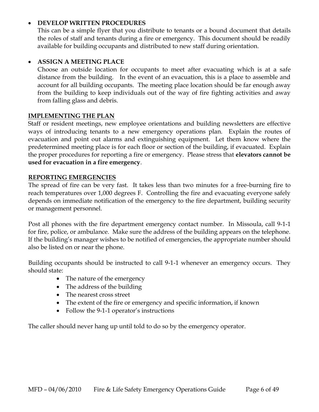## **DEVELOP WRITTEN PROCEDURES**

This can be a simple flyer that you distribute to tenants or a bound document that details the roles of staff and tenants during a fire or emergency. This document should be readily available for building occupants and distributed to new staff during orientation.

## **ASSIGN A MEETING PLACE**

Choose an outside location for occupants to meet after evacuating which is at a safe distance from the building. In the event of an evacuation, this is a place to assemble and account for all building occupants. The meeting place location should be far enough away from the building to keep individuals out of the way of fire fighting activities and away from falling glass and debris.

## **IMPLEMENTING THE PLAN**

Staff or resident meetings, new employee orientations and building newsletters are effective ways of introducing tenants to a new emergency operations plan. Explain the routes of evacuation and point out alarms and extinguishing equipment. Let them know where the predetermined meeting place is for each floor or section of the building, if evacuated. Explain the proper procedures for reporting a fire or emergency. Please stress that **elevators cannot be used for evacuation in a fire emergency**.

## **REPORTING EMERGENCIES**

The spread of fire can be very fast. It takes less than two minutes for a free-burning fire to reach temperatures over 1,000 degrees F. Controlling the fire and evacuating everyone safely depends on immediate notification of the emergency to the fire department, building security or management personnel.

Post all phones with the fire department emergency contact number. In Missoula, call 9-1-1 for fire, police, or ambulance. Make sure the address of the building appears on the telephone. If the building's manager wishes to be notified of emergencies, the appropriate number should also be listed on or near the phone.

Building occupants should be instructed to call 9-1-1 whenever an emergency occurs. They should state:

- The nature of the emergency
- The address of the building
- The nearest cross street
- The extent of the fire or emergency and specific information, if known
- Follow the 9-1-1 operator's instructions

The caller should never hang up until told to do so by the emergency operator.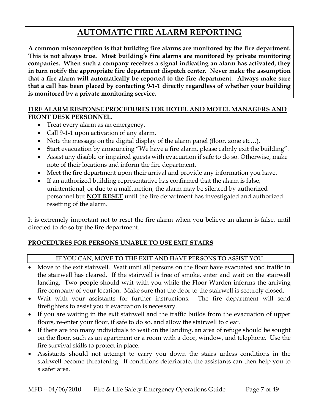## **AUTOMATIC FIRE ALARM REPORTING**

**A common misconception is that building fire alarms are monitored by the fire department. This is not always true. Most building's fire alarms are monitored by private monitoring companies. When such a company receives a signal indicating an alarm has activated, they in turn notify the appropriate fire department dispatch center. Never make the assumption that a fire alarm will automatically be reported to the fire department. Always make sure that a call has been placed by contacting 9-1-1 directly regardless of whether your building is monitored by a private monitoring service.**

## **FIRE ALARM RESPONSE PROCEDURES FOR HOTEL AND MOTEL MANAGERS AND FRONT DESK PERSONNEL.**

- Treat every alarm as an emergency.
- Call 9-1-1 upon activation of any alarm.
- Note the message on the digital display of the alarm panel (floor, zone etc...).
- Start evacuation by announcing "We have a fire alarm, please calmly exit the building".
- Assist any disable or impaired guests with evacuation if safe to do so. Otherwise, make note of their locations and inform the fire department.
- Meet the fire department upon their arrival and provide any information you have.
- If an authorized building representative has confirmed that the alarm is false, unintentional, or due to a malfunction, the alarm may be silenced by authorized personnel but **NOT RESET** until the fire department has investigated and authorized resetting of the alarm.

It is extremely important not to reset the fire alarm when you believe an alarm is false, until directed to do so by the fire department.

## **PROCEDURES FOR PERSONS UNABLE TO USE EXIT STAIRS**

## **IF YOU CAN, MOVE TO THE EXIT AND HAVE PERSONS TO ASSIST YOU**

- Move to the exit stairwell. Wait until all persons on the floor have evacuated and traffic in the stairwell has cleared. If the stairwell is free of smoke, enter and wait on the stairwell landing. Two people should wait with you while the Floor Warden informs the arriving fire company of your location. Make sure that the door to the stairwell is securely closed.
- Wait with your assistants for further instructions. The fire department will send firefighters to assist you if evacuation is necessary.
- If you are waiting in the exit stairwell and the traffic builds from the evacuation of upper floors, re-enter your floor, if safe to do so, and allow the stairwell to clear.
- If there are too many individuals to wait on the landing, an area of refuge should be sought on the floor, such as an apartment or a room with a door, window, and telephone. Use the fire survival skills to protect in place.
- Assistants should not attempt to carry you down the stairs unless conditions in the stairwell become threatening. If conditions deteriorate, the assistants can then help you to a safer area.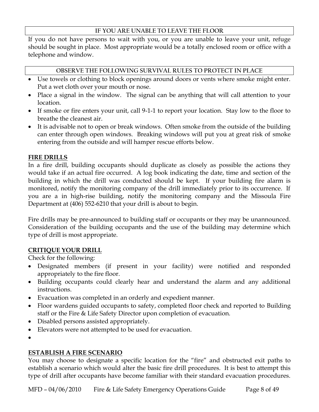## **IF YOU ARE UNABLE TO LEAVE THE FLOOR**

If you do not have persons to wait with you, or you are unable to leave your unit, refuge should be sought in place. Most appropriate would be a totally enclosed room or office with a telephone and window.

## **OBSERVE THE FOLLOWING SURVIVAL RULES TO PROTECT IN PLACE**

- Use towels or clothing to block openings around doors or vents where smoke might enter. Put a wet cloth over your mouth or nose.
- Place a signal in the window. The signal can be anything that will call attention to your location.
- If smoke or fire enters your unit, call 9-1-1 to report your location. Stay low to the floor to breathe the cleanest air.
- It is advisable not to open or break windows. Often smoke from the outside of the building can enter through open windows. Breaking windows will put you at great risk of smoke entering from the outside and will hamper rescue efforts below.

## **FIRE DRILLS**

In a fire drill, building occupants should duplicate as closely as possible the actions they would take if an actual fire occurred. A log book indicating the date, time and section of the building in which the drill was conducted should be kept. If your building fire alarm is monitored, notify the monitoring company of the drill immediately prior to its occurrence. If you are a in high-rise building, notify the monitoring company and the Missoula Fire Department at (406) 552-6210 that your drill is about to begin.

Fire drills may be pre-announced to building staff or occupants or they may be unannounced. Consideration of the building occupants and the use of the building may determine which type of drill is most appropriate.

## **CRITIQUE YOUR DRILL**

Check for the following:

- Designated members (if present in your facility) were notified and responded appropriately to the fire floor.
- Building occupants could clearly hear and understand the alarm and any additional instructions.
- Evacuation was completed in an orderly and expedient manner.
- Floor wardens guided occupants to safety, completed floor check and reported to Building staff or the Fire & Life Safety Director upon completion of evacuation.
- Disabled persons assisted appropriately.
- Elevators were not attempted to be used for evacuation.
- $\bullet$

## **ESTABLISH A FIRE SCENARIO**

You may choose to designate a specific location for the "fire" and obstructed exit paths to establish a scenario which would alter the basic fire drill procedures. It is best to attempt this type of drill after occupants have become familiar with their standard evacuation procedures.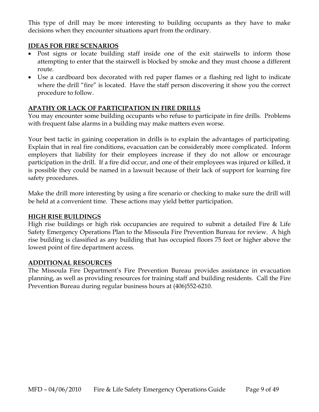This type of drill may be more interesting to building occupants as they have to make decisions when they encounter situations apart from the ordinary.

## **IDEAS FOR FIRE SCENARIOS**

- Post signs or locate building staff inside one of the exit stairwells to inform those attempting to enter that the stairwell is blocked by smoke and they must choose a different route.
- Use a cardboard box decorated with red paper flames or a flashing red light to indicate where the drill "fire" is located. Have the staff person discovering it show you the correct procedure to follow.

## **APATHY OR LACK OF PARTICIPATION IN FIRE DRILLS**

You may encounter some building occupants who refuse to participate in fire drills. Problems with frequent false alarms in a building may make matters even worse.

Your best tactic in gaining cooperation in drills is to explain the advantages of participating. Explain that in real fire conditions, evacuation can be considerably more complicated. Inform employers that liability for their employees increase if they do not allow or encourage participation in the drill. If a fire did occur, and one of their employees was injured or killed, it is possible they could be named in a lawsuit because of their lack of support for learning fire safety procedures.

Make the drill more interesting by using a fire scenario or checking to make sure the drill will be held at a convenient time. These actions may yield better participation.

## **HIGH RISE BUILDINGS**

High rise buildings or high risk occupancies are required to submit a detailed Fire & Life Safety Emergency Operations Plan to the Missoula Fire Prevention Bureau for review. A high rise building is classified as any building that has occupied floors 75 feet or higher above the lowest point of fire department access.

## **ADDITIONAL RESOURCES**

The Missoula Fire Department's Fire Prevention Bureau provides assistance in evacuation planning, as well as providing resources for training staff and building residents. Call the Fire Prevention Bureau during regular business hours at (406)552-6210.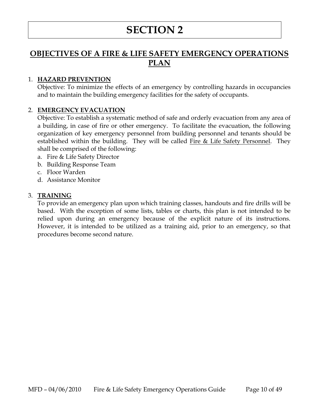## **OBJECTIVES OF A FIRE & LIFE SAFETY EMERGENCY OPERATIONS PLAN**

#### 1. **HAZARD PREVENTION**

Objective: To minimize the effects of an emergency by controlling hazards in occupancies and to maintain the building emergency facilities for the safety of occupants.

## 2. **EMERGENCY EVACUATION**

Objective: To establish a systematic method of safe and orderly evacuation from any area of a building, in case of fire or other emergency. To facilitate the evacuation, the following organization of key emergency personnel from building personnel and tenants should be established within the building. They will be called Fire  $&$  Life Safety Personnel. They shall be comprised of the following:

- a. Fire & Life Safety Director
- b. Building Response Team
- c. Floor Warden
- d. Assistance Monitor

## 3. **TRAINING**

To provide an emergency plan upon which training classes, handouts and fire drills will be based. With the exception of some lists, tables or charts, this plan is not intended to be relied upon during an emergency because of the explicit nature of its instructions. However, it is intended to be utilized as a training aid, prior to an emergency, so that procedures become second nature.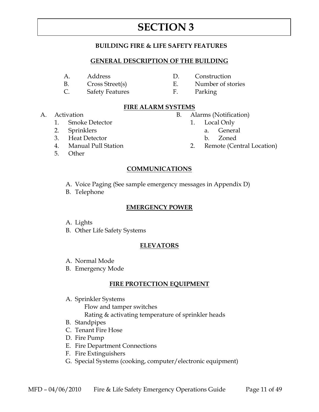## **BUILDING FIRE & LIFE SAFETY FEATURES**

#### **GENERAL DESCRIPTION OF THE BUILDING**

- 
- 
- C. Safety Features F. Parking
- A. Address D. Construction
- B. Cross Street(s) E. Number of stories
	-

## **FIRE ALARM SYSTEMS**

- - 1. Smoke Detector 1. Local Only
	- 2. Sprinklers a. General
	- 3. Heat Detector b. Zoned
	-
	- 5. Other
- A. Activation B. Alarms (Notification)
	- -
		-
	- 4. Manual Pull Station 2. Remote (Central Location)

## **COMMUNICATIONS**

- A. Voice Paging (See sample emergency messages in Appendix D)
- B. Telephone

## **EMERGENCY POWER**

- A. Lights
- B. Other Life Safety Systems

## **ELEVATORS**

- A. Normal Mode
- B. Emergency Mode

## **FIRE PROTECTION EQUIPMENT**

- A. Sprinkler Systems Flow and tamper switches Rating & activating temperature of sprinkler heads
- B. Standpipes
- C. Tenant Fire Hose
- D. Fire Pump
- E. Fire Department Connections
- F. Fire Extinguishers
- G. Special Systems (cooking, computer/electronic equipment)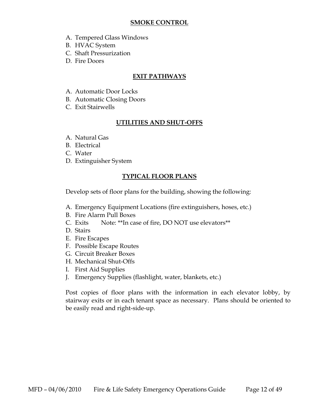#### **SMOKE CONTROL**

- A. Tempered Glass Windows
- B. HVAC System
- C. Shaft Pressurization
- D. Fire Doors

## **EXIT PATHWAYS**

- A. Automatic Door Locks
- B. Automatic Closing Doors
- C. Exit Stairwells

## **UTILITIES AND SHUT-OFFS**

- A. Natural Gas
- B. Electrical
- C. Water
- D. Extinguisher System

## **TYPICAL FLOOR PLANS**

Develop sets of floor plans for the building, showing the following:

- A. Emergency Equipment Locations (fire extinguishers, hoses, etc.)
- B. Fire Alarm Pull Boxes
- C. Exits Note: \*\*In case of fire, DO NOT use elevators\*\*
- D. Stairs
- E. Fire Escapes
- F. Possible Escape Routes
- G. Circuit Breaker Boxes
- H. Mechanical Shut-Offs
- I. First Aid Supplies
- J. Emergency Supplies (flashlight, water, blankets, etc.)

Post copies of floor plans with the information in each elevator lobby, by stairway exits or in each tenant space as necessary. Plans should be oriented to be easily read and right-side-up.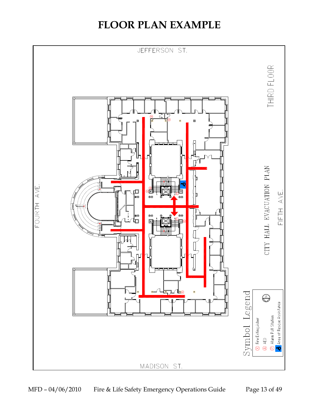## **FLOOR PLAN EXAMPLE**

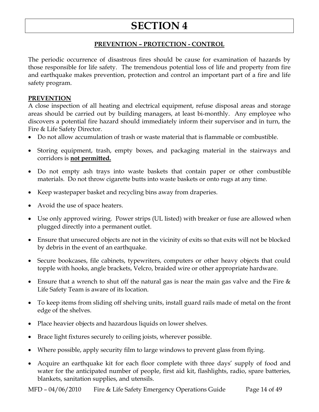## **PREVENTION – PROTECTION - CONTROL**

The periodic occurrence of disastrous fires should be cause for examination of hazards by those responsible for life safety. The tremendous potential loss of life and property from fire and earthquake makes prevention, protection and control an important part of a fire and life safety program.

## **PREVENTION**

A close inspection of all heating and electrical equipment, refuse disposal areas and storage areas should be carried out by building managers, at least bi-monthly. Any employee who discovers a potential fire hazard should immediately inform their supervisor and in turn, the Fire & Life Safety Director.

- Do not allow accumulation of trash or waste material that is flammable or combustible.
- Storing equipment, trash, empty boxes, and packaging material in the stairways and corridors is **not permitted.**
- Do not empty ash trays into waste baskets that contain paper or other combustible materials. Do not throw cigarette butts into waste baskets or onto rugs at any time.
- Keep wastepaper basket and recycling bins away from draperies.
- Avoid the use of space heaters.
- Use only approved wiring. Power strips (UL listed) with breaker or fuse are allowed when plugged directly into a permanent outlet.
- Ensure that unsecured objects are not in the vicinity of exits so that exits will not be blocked by debris in the event of an earthquake.
- Secure bookcases, file cabinets, typewriters, computers or other heavy objects that could topple with hooks, angle brackets, Velcro, braided wire or other appropriate hardware.
- Ensure that a wrench to shut off the natural gas is near the main gas valve and the Fire & Life Safety Team is aware of its location.
- To keep items from sliding off shelving units, install guard rails made of metal on the front edge of the shelves.
- Place heavier objects and hazardous liquids on lower shelves.
- Brace light fixtures securely to ceiling joists, wherever possible.
- Where possible, apply security film to large windows to prevent glass from flying.
- Acquire an earthquake kit for each floor complete with three days' supply of food and water for the anticipated number of people, first aid kit, flashlights, radio, spare batteries, blankets, sanitation supplies, and utensils.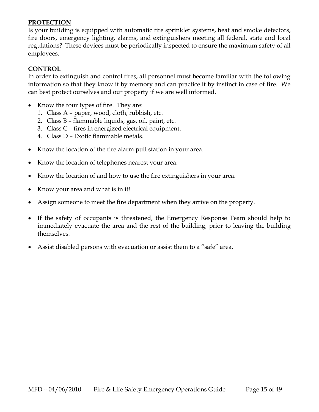## **PROTECTION**

Is your building is equipped with automatic fire sprinkler systems, heat and smoke detectors, fire doors, emergency lighting, alarms, and extinguishers meeting all federal, state and local regulations? These devices must be periodically inspected to ensure the maximum safety of all employees.

## **CONTROL**

In order to extinguish and control fires, all personnel must become familiar with the following information so that they know it by memory and can practice it by instinct in case of fire. We can best protect ourselves and our property if we are well informed.

- Know the four types of fire. They are:
	- 1. Class A paper, wood, cloth, rubbish, etc.
	- 2. Class B flammable liquids, gas, oil, paint, etc.
	- 3. Class C fires in energized electrical equipment.
	- 4. Class D Exotic flammable metals.
- Know the location of the fire alarm pull station in your area.
- Know the location of telephones nearest your area.
- Know the location of and how to use the fire extinguishers in your area.
- Know your area and what is in it!
- Assign someone to meet the fire department when they arrive on the property.
- If the safety of occupants is threatened, the Emergency Response Team should help to immediately evacuate the area and the rest of the building, prior to leaving the building themselves.
- Assist disabled persons with evacuation or assist them to a "safe" area.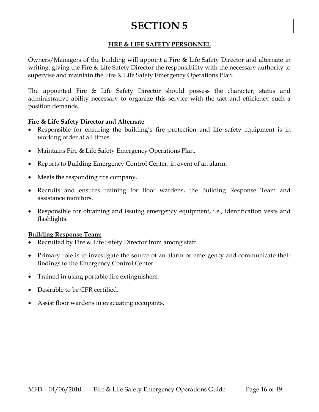## **FIRE & LIFE SAFETY PERSONNEL**

Owners/Managers of the building will appoint a Fire & Life Safety Director and alternate in writing, giving the Fire & Life Safety Director the responsibility with the necessary authority to supervise and maintain the Fire & Life Safety Emergency Operations Plan.

The appointed Fire & Life Safety Director should possess the character, status and administrative ability necessary to organize this service with the tact and efficiency such a position demands.

## **Fire & Life Safety Director and Alternate**

- Responsible for ensuring the building's fire protection and life safety equipment is in working order at all times.
- Maintains Fire & Life Safety Emergency Operations Plan.
- Reports to Building Emergency Control Center, in event of an alarm.
- Meets the responding fire company.
- Recruits and ensures training for floor wardens, the Building Response Team and assistance monitors.
- Responsible for obtaining and issuing emergency equipment, i.e., identification vests and flashlights.

## **Building Response Team:**

- Recruited by Fire & Life Safety Director from among staff.
- Primary role is to investigate the source of an alarm or emergency and communicate their findings to the Emergency Control Center.
- Trained in using portable fire extinguishers.
- Desirable to be CPR certified.
- Assist floor wardens in evacuating occupants.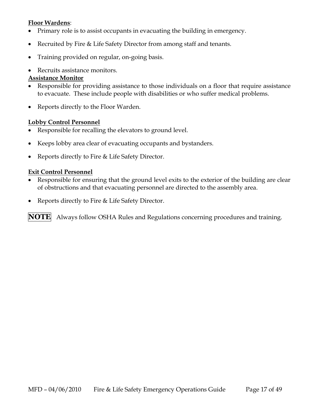## **Floor Wardens**:

- Primary role is to assist occupants in evacuating the building in emergency.
- Recruited by Fire & Life Safety Director from among staff and tenants.
- Training provided on regular, on-going basis.
- Recruits assistance monitors.

## **Assistance Monitor**

- Responsible for providing assistance to those individuals on a floor that require assistance to evacuate. These include people with disabilities or who suffer medical problems.
- Reports directly to the Floor Warden.

## **Lobby Control Personnel**

- Responsible for recalling the elevators to ground level.
- Keeps lobby area clear of evacuating occupants and bystanders.
- Reports directly to Fire & Life Safety Director.

## **Exit Control Personnel**

- Responsible for ensuring that the ground level exits to the exterior of the building are clear of obstructions and that evacuating personnel are directed to the assembly area.
- Reports directly to Fire & Life Safety Director.

**NOTE** Always follow OSHA Rules and Regulations concerning procedures and training.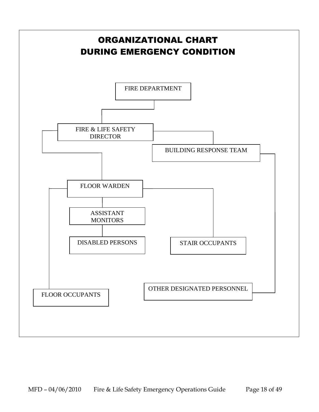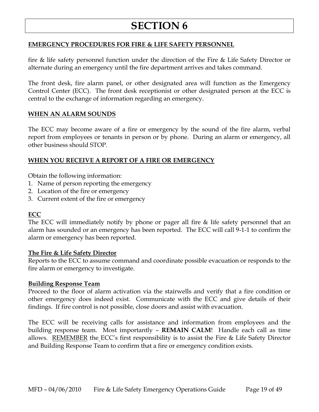## **EMERGENCY PROCEDURES FOR FIRE & LIFE SAFETY PERSONNEL**

fire & life safety personnel function under the direction of the Fire & Life Safety Director or alternate during an emergency until the fire department arrives and takes command.

The front desk, fire alarm panel, or other designated area will function as the Emergency Control Center (ECC). The front desk receptionist or other designated person at the ECC is central to the exchange of information regarding an emergency.

#### **WHEN AN ALARM SOUNDS**

The ECC may become aware of a fire or emergency by the sound of the fire alarm, verbal report from employees or tenants in person or by phone. During an alarm or emergency, all other business should STOP.

## **WHEN YOU RECEIVE A REPORT OF A FIRE OR EMERGENCY**

Obtain the following information:

- 1. Name of person reporting the emergency
- 2. Location of the fire or emergency
- 3. Current extent of the fire or emergency

## **ECC**

The ECC will immediately notify by phone or pager all fire & life safety personnel that an alarm has sounded or an emergency has been reported. The ECC will call 9-1-1 to confirm the alarm or emergency has been reported.

## **The Fire & Life Safety Director**

Reports to the ECC to assume command and coordinate possible evacuation or responds to the fire alarm or emergency to investigate.

#### **Building Response Team**

Proceed to the floor of alarm activation via the stairwells and verify that a fire condition or other emergency does indeed exist. Communicate with the ECC and give details of their findings. If fire control is not possible, close doors and assist with evacuation.

The ECC will be receiving calls for assistance and information from employees and the building response team. Most importantly – **REMAIN CALM**! Handle each call as time allows. REMEMBER the ECC's first responsibility is to assist the Fire & Life Safety Director and Building Response Team to confirm that a fire or emergency condition exists.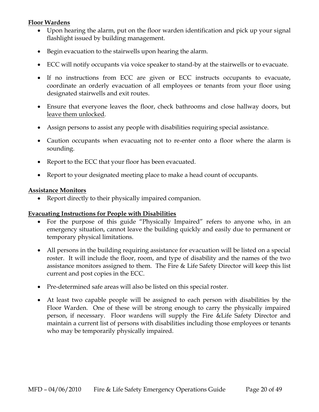## **Floor Wardens**

- Upon hearing the alarm, put on the floor warden identification and pick up your signal flashlight issued by building management.
- Begin evacuation to the stairwells upon hearing the alarm.
- ECC will notify occupants via voice speaker to stand-by at the stairwells or to evacuate.
- If no instructions from ECC are given or ECC instructs occupants to evacuate, coordinate an orderly evacuation of all employees or tenants from your floor using designated stairwells and exit routes.
- Ensure that everyone leaves the floor, check bathrooms and close hallway doors, but leave them unlocked.
- Assign persons to assist any people with disabilities requiring special assistance.
- Caution occupants when evacuating not to re-enter onto a floor where the alarm is sounding.
- Report to the ECC that your floor has been evacuated.
- Report to your designated meeting place to make a head count of occupants.

#### **Assistance Monitors**

• Report directly to their physically impaired companion.

## **Evacuating Instructions for People with Disabilities**

- For the purpose of this guide "Physically Impaired" refers to anyone who, in an emergency situation, cannot leave the building quickly and easily due to permanent or temporary physical limitations.
- All persons in the building requiring assistance for evacuation will be listed on a special roster. It will include the floor, room, and type of disability and the names of the two assistance monitors assigned to them. The Fire & Life Safety Director will keep this list current and post copies in the ECC.
- Pre-determined safe areas will also be listed on this special roster.
- At least two capable people will be assigned to each person with disabilities by the Floor Warden. One of these will be strong enough to carry the physically impaired person, if necessary. Floor wardens will supply the Fire &Life Safety Director and maintain a current list of persons with disabilities including those employees or tenants who may be temporarily physically impaired.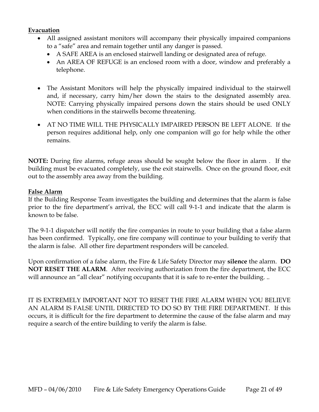## **Evacuation**

- All assigned assistant monitors will accompany their physically impaired companions to a "safe" area and remain together until any danger is passed.
	- A SAFE AREA is an enclosed stairwell landing or designated area of refuge.
	- An AREA OF REFUGE is an enclosed room with a door, window and preferably a telephone.
- The Assistant Monitors will help the physically impaired individual to the stairwell and, if necessary, carry him/her down the stairs to the designated assembly area. NOTE: Carrying physically impaired persons down the stairs should be used ONLY when conditions in the stairwells become threatening.
- AT NO TIME WILL THE PHYSICALLY IMPAIRED PERSON BE LEFT ALONE. If the person requires additional help, only one companion will go for help while the other remains.

**NOTE:** During fire alarms, refuge areas should be sought below the floor in alarm . If the building must be evacuated completely, use the exit stairwells. Once on the ground floor, exit out to the assembly area away from the building.

#### **False Alarm**

If the Building Response Team investigates the building and determines that the alarm is false prior to the fire department's arrival, the ECC will call 9-1-1 and indicate that the alarm is known to be false.

The 9-1-1 dispatcher will notify the fire companies in route to your building that a false alarm has been confirmed. Typically, one fire company will continue to your building to verify that the alarm is false. All other fire department responders will be canceled.

Upon confirmation of a false alarm, the Fire & Life Safety Director may **silence** the alarm. **DO NOT RESET THE ALARM**. After receiving authorization from the fire department, the ECC will announce an "all clear" notifying occupants that it is safe to re-enter the building. ..

IT IS EXTREMELY IMPORTANT NOT TO RESET THE FIRE ALARM WHEN YOU BELIEVE AN ALARM IS FALSE UNTIL DIRECTED TO DO SO BY THE FIRE DEPARTMENT. If this occurs, it is difficult for the fire department to determine the cause of the false alarm and may require a search of the entire building to verify the alarm is false.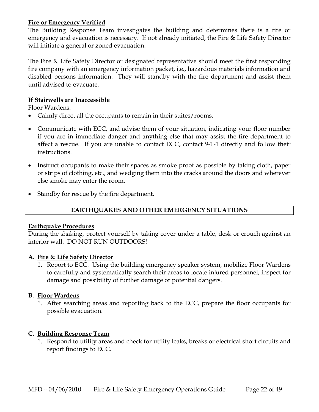## **Fire or Emergency Verified**

The Building Response Team investigates the building and determines there is a fire or emergency and evacuation is necessary. If not already initiated, the Fire & Life Safety Director will initiate a general or zoned evacuation.

The Fire & Life Safety Director or designated representative should meet the first responding fire company with an emergency information packet, i.e., hazardous materials information and disabled persons information. They will standby with the fire department and assist them until advised to evacuate.

## **If Stairwells are Inaccessible**

Floor Wardens:

- Calmly direct all the occupants to remain in their suites/rooms.
- Communicate with ECC, and advise them of your situation, indicating your floor number if you are in immediate danger and anything else that may assist the fire department to affect a rescue. If you are unable to contact ECC, contact 9-1-1 directly and follow their instructions.
- Instruct occupants to make their spaces as smoke proof as possible by taking cloth, paper or strips of clothing, etc., and wedging them into the cracks around the doors and wherever else smoke may enter the room.
- Standby for rescue by the fire department.

## **EARTHQUAKES AND OTHER EMERGENCY SITUATIONS**

## **Earthquake Procedures**

During the shaking, protect yourself by taking cover under a table, desk or crouch against an interior wall. DO NOT RUN OUTDOORS!

## **A. Fire & Life Safety Director**

1. Report to ECC. Using the building emergency speaker system, mobilize Floor Wardens to carefully and systematically search their areas to locate injured personnel, inspect for damage and possibility of further damage or potential dangers.

## **B. Floor Wardens**

1. After searching areas and reporting back to the ECC, prepare the floor occupants for possible evacuation.

## **C. Building Response Team**

1. Respond to utility areas and check for utility leaks, breaks or electrical short circuits and report findings to ECC.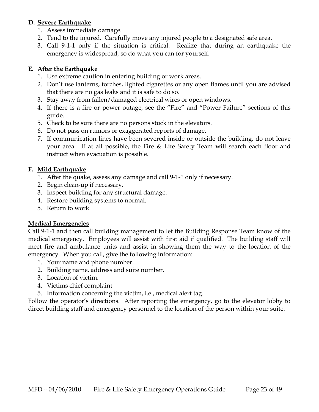## **D. Severe Earthquake**

- 1. Assess immediate damage.
- 2. Tend to the injured. Carefully move any injured people to a designated safe area.
- 3. Call 9-1-1 only if the situation is critical. Realize that during an earthquake the emergency is widespread, so do what you can for yourself.

## **E. After the Earthquake**

- 1. Use extreme caution in entering building or work areas.
- 2. Don't use lanterns, torches, lighted cigarettes or any open flames until you are advised that there are no gas leaks and it is safe to do so.
- 3. Stay away from fallen/damaged electrical wires or open windows.
- 4. If there is a fire or power outage, see the "Fire" and "Power Failure" sections of this guide.
- 5. Check to be sure there are no persons stuck in the elevators.
- 6. Do not pass on rumors or exaggerated reports of damage.
- 7. If communication lines have been severed inside or outside the building, do not leave your area. If at all possible, the Fire & Life Safety Team will search each floor and instruct when evacuation is possible.

## **F. Mild Earthquake**

- 1. After the quake, assess any damage and call 9-1-1 only if necessary.
- 2. Begin clean-up if necessary.
- 3. Inspect building for any structural damage.
- 4. Restore building systems to normal.
- 5. Return to work.

## **Medical Emergencies**

Call 9-1-1 and then call building management to let the Building Response Team know of the medical emergency. Employees will assist with first aid if qualified. The building staff will meet fire and ambulance units and assist in showing them the way to the location of the emergency. When you call, give the following information:

- 1. Your name and phone number.
- 2. Building name, address and suite number.
- 3. Location of victim.
- 4. Victims chief complaint
- 5. Information concerning the victim, i.e., medical alert tag.

Follow the operator's directions. After reporting the emergency, go to the elevator lobby to direct building staff and emergency personnel to the location of the person within your suite.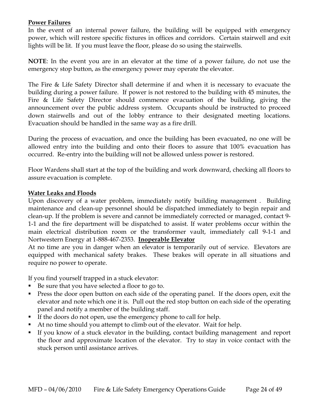## **Power Failures**

In the event of an internal power failure, the building will be equipped with emergency power, which will restore specific fixtures in offices and corridors. Certain stairwell and exit lights will be lit. If you must leave the floor, please do so using the stairwells.

**NOTE**: In the event you are in an elevator at the time of a power failure, do not use the emergency stop button, as the emergency power may operate the elevator.

The Fire & Life Safety Director shall determine if and when it is necessary to evacuate the building during a power failure. If power is not restored to the building with 45 minutes, the Fire & Life Safety Director should commence evacuation of the building, giving the announcement over the public address system. Occupants should be instructed to proceed down stairwells and out of the lobby entrance to their designated meeting locations. Evacuation should be handled in the same way as a fire drill.

During the process of evacuation, and once the building has been evacuated, no one will be allowed entry into the building and onto their floors to assure that 100% evacuation has occurred. Re-entry into the building will not be allowed unless power is restored.

Floor Wardens shall start at the top of the building and work downward, checking all floors to assure evacuation is complete.

## **Water Leaks and Floods**

Upon discovery of a water problem, immediately notify building management . Building maintenance and clean-up personnel should be dispatched immediately to begin repair and clean-up. If the problem is severe and cannot be immediately corrected or managed, contact 9- 1-1 and the fire department will be dispatched to assist. If water problems occur within the main electrical distribution room or the transformer vault, immediately call 9-1-1 and Nortwestern Energy at 1-888-467-2353. **Inoperable Elevator**

At no time are you in danger when an elevator is temporarily out of service. Elevators are equipped with mechanical safety brakes. These brakes will operate in all situations and require no power to operate.

If you find yourself trapped in a stuck elevator:

- Be sure that you have selected a floor to go to.
- Press the door open button on each side of the operating panel. If the doors open, exit the elevator and note which one it is. Pull out the red stop button on each side of the operating panel and notify a member of the building staff.
- If the doors do not open, use the emergency phone to call for help.
- At no time should you attempt to climb out of the elevator. Wait for help.
- If you know of a stuck elevator in the building, contact building management and report the floor and approximate location of the elevator. Try to stay in voice contact with the stuck person until assistance arrives.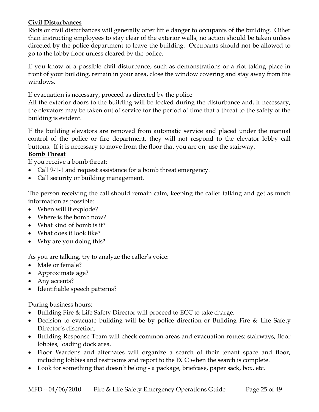## **Civil Disturbances**

Riots or civil disturbances will generally offer little danger to occupants of the building. Other than instructing employees to stay clear of the exterior walls, no action should be taken unless directed by the police department to leave the building. Occupants should not be allowed to go to the lobby floor unless cleared by the police.

If you know of a possible civil disturbance, such as demonstrations or a riot taking place in front of your building, remain in your area, close the window covering and stay away from the windows.

If evacuation is necessary, proceed as directed by the police

All the exterior doors to the building will be locked during the disturbance and, if necessary, the elevators may be taken out of service for the period of time that a threat to the safety of the building is evident.

If the building elevators are removed from automatic service and placed under the manual control of the police or fire department, they will not respond to the elevator lobby call buttons. If it is necessary to move from the floor that you are on, use the stairway.

## **Bomb Threat**

If you receive a bomb threat:

- Call 9-1-1 and request assistance for a bomb threat emergency.
- Call security or building management.

The person receiving the call should remain calm, keeping the caller talking and get as much information as possible:

- When will it explode?
- Where is the bomb now?
- What kind of bomb is it?
- What does it look like?
- Why are you doing this?

As you are talking, try to analyze the caller's voice:

- Male or female?
- Approximate age?
- Any accents?
- Identifiable speech patterns?

During business hours:

- Building Fire & Life Safety Director will proceed to ECC to take charge.
- Decision to evacuate building will be by police direction or Building Fire & Life Safety Director's discretion.
- Building Response Team will check common areas and evacuation routes: stairways, floor lobbies, loading dock area.
- Floor Wardens and alternates will organize a search of their tenant space and floor, including lobbies and restrooms and report to the ECC when the search is complete.
- Look for something that doesn't belong a package, briefcase, paper sack, box, etc.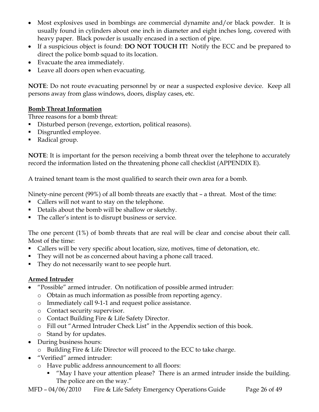- Most explosives used in bombings are commercial dynamite and/or black powder. It is usually found in cylinders about one inch in diameter and eight inches long, covered with heavy paper. Black powder is usually encased in a section of pipe.
- If a suspicious object is found: **DO NOT TOUCH IT!** Notify the ECC and be prepared to direct the police bomb squad to its location.
- Evacuate the area immediately.
- Leave all doors open when evacuating.

**NOTE**: Do not route evacuating personnel by or near a suspected explosive device. Keep all persons away from glass windows, doors, display cases, etc.

## **Bomb Threat Information**

Three reasons for a bomb threat:

- Disturbed person (revenge, extortion, political reasons).
- Disgruntled employee.
- Radical group.

**NOTE**: It is important for the person receiving a bomb threat over the telephone to accurately record the information listed on the threatening phone call checklist (APPENDIX E).

A trained tenant team is the most qualified to search their own area for a bomb.

Ninety-nine percent (99%) of all bomb threats are exactly that – a threat. Most of the time:

- Callers will not want to stay on the telephone.
- Details about the bomb will be shallow or sketchy.
- The caller's intent is to disrupt business or service.

The one percent (1%) of bomb threats that are real will be clear and concise about their call. Most of the time:

- Callers will be very specific about location, size, motives, time of detonation, etc.
- They will not be as concerned about having a phone call traced.
- They do not necessarily want to see people hurt.

## **Armed Intruder**

- "Possible" armed intruder. On notification of possible armed intruder:
	- o Obtain as much information as possible from reporting agency.
	- o Immediately call 9-1-1 and request police assistance.
	- o Contact security supervisor.
	- o Contact Building Fire & Life Safety Director.
	- o Fill out "Armed Intruder Check List" in the Appendix section of this book.
	- o Stand by for updates.
- During business hours:
	- o Building Fire & Life Director will proceed to the ECC to take charge.
- "Verified" armed intruder:
	- o Have public address announcement to all floors:
		- "May I have your attention please? There is an armed intruder inside the building. The police are on the way."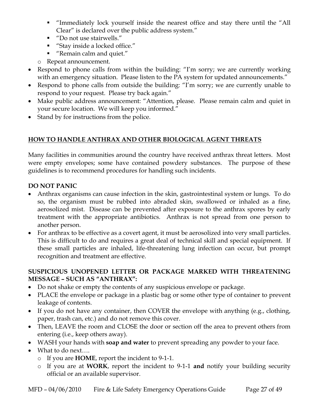- "Immediately lock yourself inside the nearest office and stay there until the "All Clear" is declared over the public address system."
- "Do not use stairwells."
- "Stay inside a locked office."
- *"*Remain calm and quiet."
- o Repeat announcement.
- Respond to phone calls from within the building: "I'm sorry; we are currently working with an emergency situation. Please listen to the PA system for updated announcements."
- Respond to phone calls from outside the building: "I'm sorry; we are currently unable to respond to your request. Please try back again."
- Make public address announcement: "Attention, please. Please remain calm and quiet in your secure location. We will keep you informed."
- Stand by for instructions from the police.

## **HOW TO HANDLE ANTHRAX AND OTHER BIOLOGICAL AGENT THREATS**

Many facilities in communities around the country have received anthrax threat letters. Most were empty envelopes; some have contained powdery substances. The purpose of these guidelines is to recommend procedures for handling such incidents.

## **DO NOT PANIC**

- Anthrax organisms can cause infection in the skin, gastrointestinal system or lungs. To do so, the organism must be rubbed into abraded skin, swallowed or inhaled as a fine, aerosolized mist. Disease can be prevented after exposure to the anthrax spores by early treatment with the appropriate antibiotics. Anthrax is not spread from one person to another person.
- For anthrax to be effective as a covert agent, it must be aerosolized into very small particles. This is difficult to do and requires a great deal of technical skill and special equipment. If these small particles are inhaled, life-threatening lung infection can occur, but prompt recognition and treatment are effective.

## **SUSPICIOUS UNOPENED LETTER OR PACKAGE MARKED WITH THREATENING MESSAGE – SUCH AS "ANTHRAX":**

- Do not shake or empty the contents of any suspicious envelope or package.
- PLACE the envelope or package in a plastic bag or some other type of container to prevent leakage of contents.
- If you do not have any container, then COVER the envelope with anything (e.g., clothing, paper, trash can, etc.) and do not remove this cover.
- Then, LEAVE the room and CLOSE the door or section off the area to prevent others from entering (i.e., keep others away).
- WASH your hands with **soap and water** to prevent spreading any powder to your face.
- What to do next….
	- o If you are **HOME**, report the incident to 9-1-1.
	- o If you are at **WORK**, report the incident to 9-1-1 **and** notify your building security official or an available supervisor.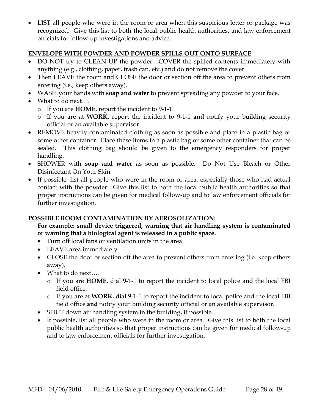LIST all people who were in the room or area when this suspicious letter or package was recognized. Give this list to both the local public health authorities, and law enforcement officials for follow-up investigations and advice.

## **ENVELOPE WITH POWDER AND POWDER SPILLS OUT ONTO SURFACE**

- DO NOT try to CLEAN UP the powder. COVER the spilled contents immediately with anything (e.g., clothing, paper, trash can, etc.) and do not remove the cover.
- Then LEAVE the room and CLOSE the door or section off the area to prevent others from entering (i.e., keep others away).
- WASH your hands with **soap and water** to prevent spreading any powder to your face.
- What to do next....
	- o If you are **HOME**, report the incident to 9-1-1.
	- o If you are at **WORK**, report the incident to 9-1-1 **and** notify your building security official or an available supervisor.
- REMOVE heavily contaminated clothing as soon as possible and place in a plastic bag or some other container. Place these items in a plastic bag or some other container that can be sealed. This clothing bag should be given to the emergency responders for proper handling.
- SHOWER with **soap and water** as soon as possible. Do Not Use Bleach or Other Disinfectant On Your Skin.
- If possible, list all people who were in the room or area, especially those who had actual contact with the powder. Give this list to both the local public health authorities so that proper instructions can be given for medical follow-up and to law enforcement officials for further investigation.

## **POSSIBLE ROOM CONTAMINATION BY AEROSOLIZATION:**

## **For example: small device triggered, warning that air handling system is contaminated or warning that a biological agent is released in a public space.**

- Turn off local fans or ventilation units in the area.
- LEAVE area immediately.
- CLOSE the door or section off the area to prevent others from entering (i.e. keep others away).
- What to do next....
	- o If you are **HOME**, dial 9-1-1 to report the incident to local police and the local FBI field office.
	- o If you are at **WORK**, dial 9-1-1 to report the incident to local police and the local FBI field office **and** notify your building security official or an available supervisor.
- SHUT down air handling system in the building, if possible.
- If possible, list all people who were in the room or area. Give this list to both the local public health authorities so that proper instructions can be given for medical follow-up and to law enforcement officials for further investigation.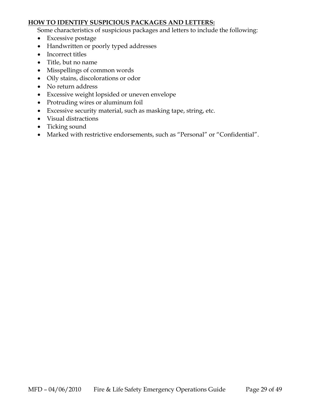## **HOW TO IDENTIFY SUSPICIOUS PACKAGES AND LETTERS:**

Some characteristics of suspicious packages and letters to include the following:

- Excessive postage
- Handwritten or poorly typed addresses
- Incorrect titles
- Title, but no name
- Misspellings of common words
- Oily stains, discolorations or odor
- No return address
- Excessive weight lopsided or uneven envelope
- Protruding wires or aluminum foil
- Excessive security material, such as masking tape, string, etc.
- Visual distractions
- Ticking sound
- Marked with restrictive endorsements, such as "Personal" or "Confidential".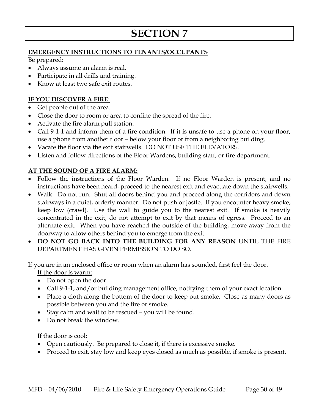## **EMERGENCY INSTRUCTIONS TO TENANTS/OCCUPANTS**

Be prepared:

- Always assume an alarm is real.
- Participate in all drills and training.
- Know at least two safe exit routes.

## **IF YOU DISCOVER A FIRE**:

- Get people out of the area.
- Close the door to room or area to confine the spread of the fire.
- Activate the fire alarm pull station.
- Call 9-1-1 and inform them of a fire condition. If it is unsafe to use a phone on your floor, use a phone from another floor – below your floor or from a neighboring building.
- Vacate the floor via the exit stairwells. DO NOT USE THE ELEVATORS.
- Listen and follow directions of the Floor Wardens, building staff, or fire department.

## **AT THE SOUND OF A FIRE ALARM:**

- Follow the instructions of the Floor Warden. If no Floor Warden is present, and no instructions have been heard, proceed to the nearest exit and evacuate down the stairwells.
- Walk. Do not run. Shut all doors behind you and proceed along the corridors and down stairways in a quiet, orderly manner. Do not push or jostle. If you encounter heavy smoke, keep low (crawl). Use the wall to guide you to the nearest exit. If smoke is heavily concentrated in the exit, do not attempt to exit by that means of egress. Proceed to an alternate exit. When you have reached the outside of the building, move away from the doorway to allow others behind you to emerge from the exit.
- **DO NOT GO BACK INTO THE BUILDING FOR ANY REASON** UNTIL THE FIRE DEPARTMENT HAS GIVEN PERMISSION TO DO SO.

If you are in an enclosed office or room when an alarm has sounded, first feel the door.

If the door is warm:

- Do not open the door.
- Call 9-1-1, and/or building management office, notifying them of your exact location.
- Place a cloth along the bottom of the door to keep out smoke. Close as many doors as possible between you and the fire or smoke.
- Stay calm and wait to be rescued you will be found.
- Do not break the window.

## If the door is cool:

- Open cautiously. Be prepared to close it, if there is excessive smoke.
- Proceed to exit, stay low and keep eyes closed as much as possible, if smoke is present.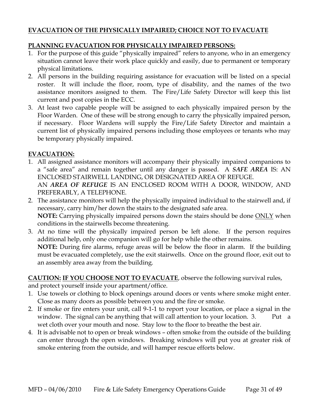## **EVACUATION OF THE PHYSICALLY IMPAIRED; CHOICE NOT TO EVACUATE**

## **PLANNING EVACUATION FOR PHYSICALLY IMPAIRED PERSONS:**

- 1. For the purpose of this guide "physically impaired" refers to anyone, who in an emergency situation cannot leave their work place quickly and easily, due to permanent or temporary physical limitations.
- 2. All persons in the building requiring assistance for evacuation will be listed on a special roster. It will include the floor, room, type of disability, and the names of the two assistance monitors assigned to them. The Fire/Life Safety Director will keep this list current and post copies in the ECC.
- 3. At least two capable people will be assigned to each physically impaired person by the Floor Warden. One of these will be strong enough to carry the physically impaired person, if necessary. Floor Wardens will supply the Fire/Life Safety Director and maintain a current list of physically impaired persons including those employees or tenants who may be temporary physically impaired.

## **EVACUATION:**

- 1. All assigned assistance monitors will accompany their physically impaired companions to a "safe area" and remain together until any danger is passed. A *SAFE AREA* IS: AN ENCLOSED STAIRWELL LANDING, OR DESIGNATED AREA OF REFUGE. AN *AREA OF REFUGE* IS AN ENCLOSED ROOM WITH A DOOR, WINDOW, AND PREFERABLY, A TELEPHONE.
- 2. The assistance monitors will help the physically impaired individual to the stairwell and, if necessary, carry him/her down the stairs to the designated safe area. **NOTE:** Carrying physically impaired persons down the stairs should be done ONLY when conditions in the stairwells become threatening.
- 3. At no time will the physically impaired person be left alone. If the person requires additional help, only one companion will go for help while the other remains. **NOTE:** During fire alarms, refuge areas will be below the floor in alarm. If the building must be evacuated completely, use the exit stairwells. Once on the ground floor, exit out to an assembly area away from the building.

**CAUTION: IF YOU CHOOSE NOT TO EVACUATE**, observe the following survival rules,

and protect yourself inside your apartment/office.

- 1. Use towels or clothing to block openings around doors or vents where smoke might enter. Close as many doors as possible between you and the fire or smoke.
- 2. If smoke or fire enters your unit, call 9-1-1 to report your location, or place a signal in the window. The signal can be anything that will call attention to your location. 3. Put a wet cloth over your mouth and nose. Stay low to the floor to breathe the best air.
- 4. It is advisable not to open or break windows often smoke from the outside of the building can enter through the open windows. Breaking windows will put you at greater risk of smoke entering from the outside, and will hamper rescue efforts below.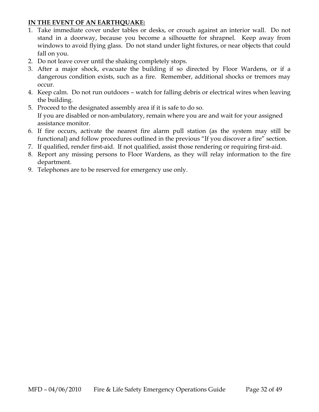## **IN THE EVENT OF AN EARTHQUAKE:**

- 1. Take immediate cover under tables or desks, or crouch against an interior wall. Do not stand in a doorway, because you become a silhouette for shrapnel. Keep away from windows to avoid flying glass. Do not stand under light fixtures, or near objects that could fall on you.
- 2. Do not leave cover until the shaking completely stops.
- 3. After a major shock, evacuate the building if so directed by Floor Wardens, or if a dangerous condition exists, such as a fire. Remember, additional shocks or tremors may occur.
- 4. Keep calm. Do not run outdoors watch for falling debris or electrical wires when leaving the building.
- 5. Proceed to the designated assembly area if it is safe to do so. If you are disabled or non-ambulatory, remain where you are and wait for your assigned assistance monitor.
- 6. If fire occurs, activate the nearest fire alarm pull station (as the system may still be functional) and follow procedures outlined in the previous "If you discover a fire" section.
- 7. If qualified, render first-aid. If not qualified, assist those rendering or requiring first-aid.
- 8. Report any missing persons to Floor Wardens, as they will relay information to the fire department.
- 9. Telephones are to be reserved for emergency use only.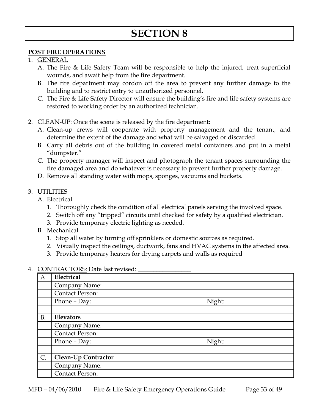#### **POST FIRE OPERATIONS**

## 1. GENERAL

- A. The Fire & Life Safety Team will be responsible to help the injured, treat superficial wounds, and await help from the fire department.
- B. The fire department may cordon off the area to prevent any further damage to the building and to restrict entry to unauthorized personnel.
- C. The Fire & Life Safety Director will ensure the building's fire and life safety systems are restored to working order by an authorized technician.
- 2. CLEAN-UP: Once the scene is released by the fire department:
	- A. Clean-up crews will cooperate with property management and the tenant, and determine the extent of the damage and what will be salvaged or discarded.
	- B. Carry all debris out of the building in covered metal containers and put in a metal "dumpster."
	- C. The property manager will inspect and photograph the tenant spaces surrounding the fire damaged area and do whatever is necessary to prevent further property damage.
	- D. Remove all standing water with mops, sponges, vacuums and buckets.

## 3. UTILITIES

A. Electrical

- 1. Thoroughly check the condition of all electrical panels serving the involved space.
- 2. Switch off any "tripped" circuits until checked for safety by a qualified electrician.
- 3. Provide temporary electric lighting as needed.
- B. Mechanical
	- 1. Stop all water by turning off sprinklers or domestic sources as required.
	- 2. Visually inspect the ceilings, ductwork, fans and HVAC systems in the affected area.
	- 3. Provide temporary heaters for drying carpets and walls as required

#### 4. CONTRACTORS: Date last revised:

| A.        | Electrical                 |        |
|-----------|----------------------------|--------|
|           | Company Name:              |        |
|           | <b>Contact Person:</b>     |        |
|           | Phone - Day:               | Night: |
|           |                            |        |
| <b>B.</b> | Elevators                  |        |
|           | Company Name:              |        |
|           | <b>Contact Person:</b>     |        |
|           | Phone - Day:               | Night: |
|           |                            |        |
| $C$ .     | <b>Clean-Up Contractor</b> |        |
|           | Company Name:              |        |
|           | <b>Contact Person:</b>     |        |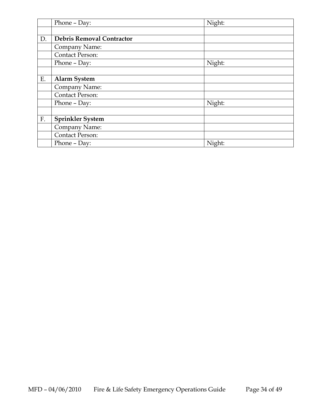|    | Phone - Day:                     | Night: |
|----|----------------------------------|--------|
|    |                                  |        |
| D. | <b>Debris Removal Contractor</b> |        |
|    | Company Name:                    |        |
|    | <b>Contact Person:</b>           |        |
|    | Phone - Day:                     | Night: |
|    |                                  |        |
| Ε. | <b>Alarm System</b>              |        |
|    | Company Name:                    |        |
|    | <b>Contact Person:</b>           |        |
|    | Phone - Day:                     | Night: |
|    |                                  |        |
| F. | <b>Sprinkler System</b>          |        |
|    | Company Name:                    |        |
|    | <b>Contact Person:</b>           |        |
|    | Phone - Day:                     | Night: |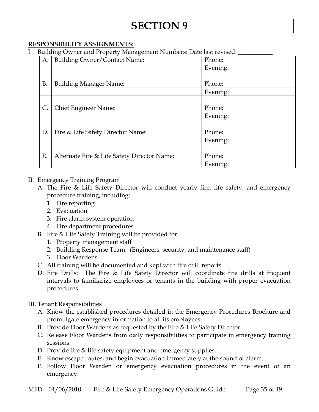## **RESPONSIBILITY ASSIGNMENTS:**

I. Building Owner and Property Management Numbers: Date last revised:

| A.             | <u>۔ ص</u><br><b>Building Owner/Contact Name:</b> | Phone:   |
|----------------|---------------------------------------------------|----------|
|                |                                                   | Evening: |
|                |                                                   |          |
| <b>B.</b>      | <b>Building Manager Name:</b>                     | Phone:   |
|                |                                                   | Evening: |
|                |                                                   |          |
| $\mathsf{C}$ . | <b>Chief Engineer Name:</b>                       | Phone:   |
|                |                                                   | Evening: |
|                |                                                   |          |
| D.             | Fire & Life Safety Director Name:                 | Phone:   |
|                |                                                   | Evening: |
|                |                                                   |          |
| E.             | Alternate Fire & Life Safety Director Name:       | Phone:   |
|                |                                                   | Evening: |

## II. Emergency Training Program

- A. The Fire & Life Safety Director will conduct yearly fire, life safety, and emergency procedure training, including:
	- 1. Fire reporting
	- 2. Evacuation
	- 3. Fire alarm system operation
	- 4. Fire department procedures
- B. Fire & Life Safety Training will be provided for:
	- 1. Property management staff
	- 2. Building Response Team: (Engineers, security, and maintenance staff)
	- 3. Floor Wardens
- C. All training will be documented and kept with fire drill reports.
- D. Fire Drills: The Fire & Life Safety Director will coordinate fire drills at frequent intervals to familiarize employees or tenants in the building with proper evacuation procedures.

## III. Tenant Responsibilities

- A. Know the established procedures detailed in the Emergency Procedures Brochure and promulgate emergency information to all its employees.
- B. Provide Floor Wardens as requested by the Fire & Life Safety Director.
- C. Release Floor Wardens from daily responsibilities to participate in emergency training sessions.
- D. Provide fire & life safety equipment and emergency supplies.
- E. Know escape routes, and begin evacuation immediately at the sound of alarm.
- F. Follow Floor Warden or emergency evacuation procedures in the event of an emergency.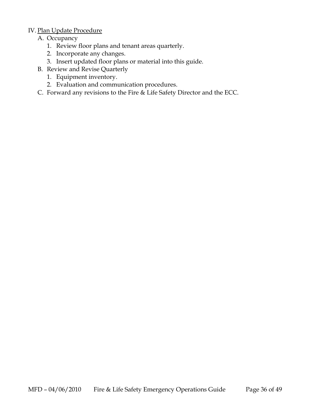## IV. Plan Update Procedure

## A. Occupancy

- 1. Review floor plans and tenant areas quarterly.
- 2. Incorporate any changes.
- 3. Insert updated floor plans or material into this guide.
- B. Review and Revise Quarterly
	- 1. Equipment inventory.
	- 2. Evaluation and communication procedures.
- C. Forward any revisions to the Fire & Life Safety Director and the ECC.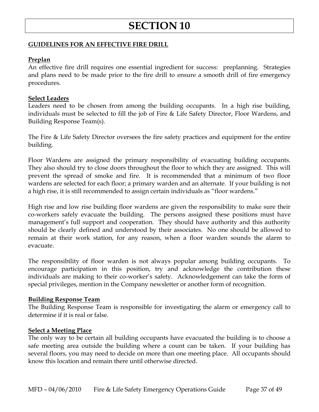## **GUIDELINES FOR AN EFFECTIVE FIRE DRILL**

#### **Preplan**

An effective fire drill requires one essential ingredient for success: preplanning. Strategies and plans need to be made prior to the fire drill to ensure a smooth drill of fire emergency procedures.

#### **Select Leaders**

Leaders need to be chosen from among the building occupants. In a high rise building, individuals must be selected to fill the job of Fire & Life Safety Director, Floor Wardens, and Building Response Team(s).

The Fire & Life Safety Director oversees the fire safety practices and equipment for the entire building.

Floor Wardens are assigned the primary responsibility of evacuating building occupants. They also should try to close doors throughout the floor to which they are assigned. This will prevent the spread of smoke and fire. It is recommended that a minimum of two floor wardens are selected for each floor; a primary warden and an alternate. If your building is not a high rise, it is still recommended to assign certain individuals as "floor wardens."

High rise and low rise building floor wardens are given the responsibility to make sure their co-workers safely evacuate the building. The persons assigned these positions must have management's full support and cooperation. They should have authority and this authority should be clearly defined and understood by their associates. No one should be allowed to remain at their work station, for any reason, when a floor warden sounds the alarm to evacuate.

The responsibility of floor warden is not always popular among building occupants. To encourage participation in this position, try and acknowledge the contribution these individuals are making to their co-worker's safety. Acknowledgement can take the form of special privileges, mention in the Company newsletter or another form of recognition.

#### **Building Response Team**

The Building Response Team is responsible for investigating the alarm or emergency call to determine if it is real or false.

#### **Select a Meeting Place**

The only way to be certain all building occupants have evacuated the building is to choose a safe meeting area outside the building where a count can be taken. If your building has several floors, you may need to decide on more than one meeting place. All occupants should know this location and remain there until otherwise directed.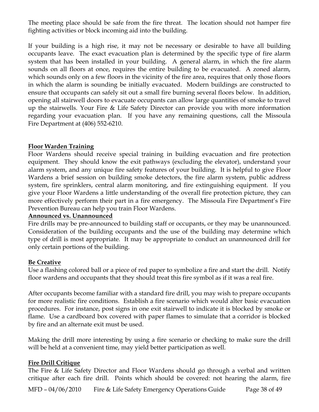The meeting place should be safe from the fire threat. The location should not hamper fire fighting activities or block incoming aid into the building.

If your building is a high rise, it may not be necessary or desirable to have all building occupants leave. The exact evacuation plan is determined by the specific type of fire alarm system that has been installed in your building. A general alarm, in which the fire alarm sounds on all floors at once, requires the entire building to be evacuated. A zoned alarm, which sounds only on a few floors in the vicinity of the fire area, requires that only those floors in which the alarm is sounding be initially evacuated. Modern buildings are constructed to ensure that occupants can safely sit out a small fire burning several floors below. In addition, opening all stairwell doors to evacuate occupants can allow large quantities of smoke to travel up the stairwells. Your Fire & Life Safety Director can provide you with more information regarding your evacuation plan. If you have any remaining questions, call the Missoula Fire Department at (406) 552-6210.

## **Floor Warden Training**

Floor Wardens should receive special training in building evacuation and fire protection equipment. They should know the exit pathways (excluding the elevator), understand your alarm system, and any unique fire safety features of your building. It is helpful to give Floor Wardens a brief session on building smoke detectors, the fire alarm system, public address system, fire sprinklers, central alarm monitoring, and fire extinguishing equipment. If you give your Floor Wardens a little understanding of the overall fire protection picture, they can more effectively perform their part in a fire emergency. The Missoula Fire Department's Fire Prevention Bureau can help you train Floor Wardens.

## **Announced vs. Unannounced**

Fire drills may be pre-announced to building staff or occupants, or they may be unannounced. Consideration of the building occupants and the use of the building may determine which type of drill is most appropriate. It may be appropriate to conduct an unannounced drill for only certain portions of the building.

## **Be Creative**

Use a flashing colored ball or a piece of red paper to symbolize a fire and start the drill. Notify floor wardens and occupants that they should treat this fire symbol as if it was a real fire.

After occupants become familiar with a standard fire drill, you may wish to prepare occupants for more realistic fire conditions. Establish a fire scenario which would alter basic evacuation procedures. For instance, post signs in one exit stairwell to indicate it is blocked by smoke or flame. Use a cardboard box covered with paper flames to simulate that a corridor is blocked by fire and an alternate exit must be used.

Making the drill more interesting by using a fire scenario or checking to make sure the drill will be held at a convenient time, may yield better participation as well.

## **Fire Drill Critique**

The Fire & Life Safety Director and Floor Wardens should go through a verbal and written critique after each fire drill. Points which should be covered: not hearing the alarm, fire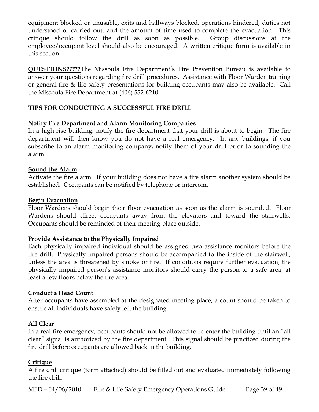equipment blocked or unusable, exits and hallways blocked, operations hindered, duties not understood or carried out, and the amount of time used to complete the evacuation. This critique should follow the drill as soon as possible. Group discussions at the employee/occupant level should also be encouraged. A written critique form is available in this section.

**QUESTIONS?????**The Missoula Fire Department's Fire Prevention Bureau is available to answer your questions regarding fire drill procedures. Assistance with Floor Warden training or general fire & life safety presentations for building occupants may also be available. Call the Missoula Fire Department at (406) 552-6210.

## **TIPS FOR CONDUCTING A SUCCESSFUL FIRE DRILL**

## **Notify Fire Department and Alarm Monitoring Companies**

In a high rise building, notify the fire department that your drill is about to begin. The fire department will then know you do not have a real emergency. In any buildings, if you subscribe to an alarm monitoring company, notify them of your drill prior to sounding the alarm.

## **Sound the Alarm**

Activate the fire alarm. If your building does not have a fire alarm another system should be established. Occupants can be notified by telephone or intercom.

## **Begin Evacuation**

Floor Wardens should begin their floor evacuation as soon as the alarm is sounded. Floor Wardens should direct occupants away from the elevators and toward the stairwells. Occupants should be reminded of their meeting place outside.

## **Provide Assistance to the Physically Impaired**

Each physically impaired individual should be assigned two assistance monitors before the fire drill. Physically impaired persons should be accompanied to the inside of the stairwell, unless the area is threatened by smoke or fire. If conditions require further evacuation, the physically impaired person's assistance monitors should carry the person to a safe area, at least a few floors below the fire area.

## **Conduct a Head Count**

After occupants have assembled at the designated meeting place, a count should be taken to ensure all individuals have safely left the building.

## **All Clear**

In a real fire emergency, occupants should not be allowed to re-enter the building until an "all clear" signal is authorized by the fire department. This signal should be practiced during the fire drill before occupants are allowed back in the building.

## **Critique**

A fire drill critique (form attached) should be filled out and evaluated immediately following the fire drill.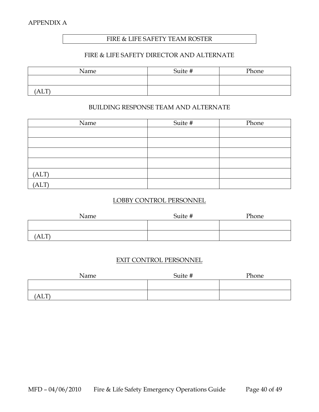## FIRE & LIFE SAFETY TEAM ROSTER

## FIRE & LIFE SAFETY DIRECTOR AND ALTERNATE

| Name                  | Suite # | Phone |
|-----------------------|---------|-------|
|                       |         |       |
| $-$ TD $-$<br>I TILI. |         |       |

#### BUILDING RESPONSE TEAM AND ALTERNATE

| Name  | Suite # | Phone |
|-------|---------|-------|
|       |         |       |
|       |         |       |
|       |         |       |
|       |         |       |
| (ALT) |         |       |
| (ALT) |         |       |

#### LOBBY CONTROL PERSONNEL

| Name                  | Suite # | Phone |
|-----------------------|---------|-------|
|                       |         |       |
| $\blacksquare$<br>AL) |         |       |

## EXIT CONTROL PERSONNEL

| Name           | Suite # | Phone |
|----------------|---------|-------|
|                |         |       |
| ∖ דידו<br>(ALT |         |       |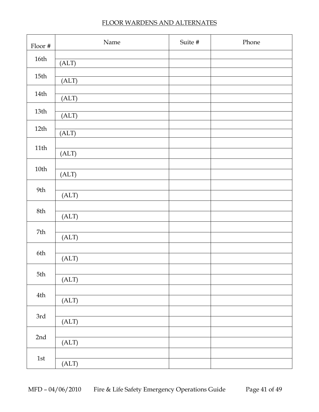| Floor $\#$     | Name  | Suite # | Phone |
|----------------|-------|---------|-------|
| $16th\,$       | (ALT) |         |       |
| 15th           | (ALT) |         |       |
| 14th           |       |         |       |
| $13th\,$       | (ALT) |         |       |
|                | (ALT) |         |       |
| 12th           | (ALT) |         |       |
| 11th           | (ALT) |         |       |
| $10th\,$       | (ALT) |         |       |
|                |       |         |       |
| 9th            | (ALT) |         |       |
| $8{\rm th}$    | (ALT) |         |       |
| 7th            |       |         |       |
|                | (ALT) |         |       |
| 6th            | (ALT) |         |       |
| 5th            | (ALT) |         |       |
| $4\mathrm{th}$ |       |         |       |
|                | (ALT) |         |       |
| 3rd            | (ALT) |         |       |
| 2nd            | (ALT) |         |       |
| $1st$          |       |         |       |
|                | (ALT) |         |       |

## FLOOR WARDENS AND ALTERNATES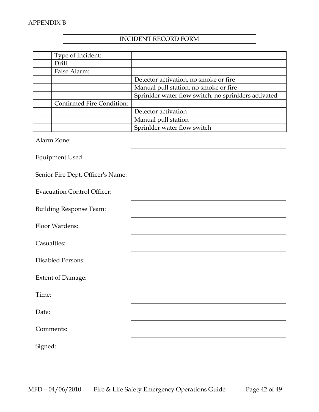## APPENDIX B

#### INCIDENT RECORD FORM

| Type of Incident:                |                                                      |
|----------------------------------|------------------------------------------------------|
| Drill                            |                                                      |
| False Alarm:                     |                                                      |
|                                  | Detector activation, no smoke or fire.               |
|                                  | Manual pull station, no smoke or fire.               |
|                                  | Sprinkler water flow switch, no sprinklers activated |
| <b>Confirmed Fire Condition:</b> |                                                      |
|                                  | Detector activation                                  |
|                                  | Manual pull station                                  |
|                                  | Sprinkler water flow switch                          |

Alarm Zone:

Equipment Used:

|  | Senior Fire Dept. Officer's Name: |
|--|-----------------------------------|
|--|-----------------------------------|

Evacuation Control Officer:

Building Response Team:

Floor Wardens:

Casualties:

Disabled Persons:

Extent of Damage:

Time:

Date:

Comments:

Signed: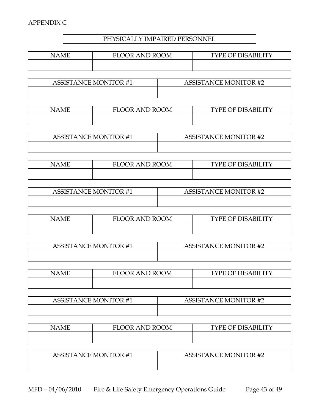## APPENDIX C

## PHYSICALLY IMPAIRED PERSONNEL

| NAMF | <b>FLOOR AND ROOM</b> | <b>TYPE OF DISABILITY</b> |
|------|-----------------------|---------------------------|
|      |                       |                           |

| <b>ASSISTANCE MONITOR #1</b> | <b>ASSISTANCE MONITOR #2</b> |
|------------------------------|------------------------------|
|                              |                              |

| NAME | FLOOR AND ROOM | <b>TYPE OF DISABILITY</b> |
|------|----------------|---------------------------|
|      |                |                           |

| <b>ASSISTANCE MONITOR #1</b> | ANCE MONITOR #2<br>ASSIS' |
|------------------------------|---------------------------|
|                              |                           |

| 'AME | <b>FLOOR AND ROOM</b> | <b>TYPE OF DISABILITY</b> |
|------|-----------------------|---------------------------|
|      |                       |                           |

| <b>ASSISTANCE MONITOR #1</b> | <b>ASSISTANCE MONITOR #2</b> |
|------------------------------|------------------------------|
|                              |                              |

| A M F | <b>FLOOR AND ROOM</b> | <b>TYPE OF DISABIL</b><br>.ITY |
|-------|-----------------------|--------------------------------|
|       |                       |                                |

| <b>ASSISTANCE MONITOR #1</b> | <b>ASSISTANCE MONITOR #2</b> |
|------------------------------|------------------------------|
|                              |                              |

| ™AME | <b>FLOOR AND ROOM</b> | <b>TYPE OF DISABILITY</b> |
|------|-----------------------|---------------------------|
|      |                       |                           |

| <b>ASSISTANCE MONITOR #1</b> | <b>ASSISTANCE MONITOR #2</b> |
|------------------------------|------------------------------|
|                              |                              |

| A M F | <b>FLOOR AND ROOM</b> | <b>TYPE OF DISABILITY</b><br>$\mathbf{m}$ |
|-------|-----------------------|-------------------------------------------|
|       |                       |                                           |

| <b>ASSISTANCE MONITOR #1</b> | <b>ASSISTANCE MONITOR #2</b> |
|------------------------------|------------------------------|
|                              |                              |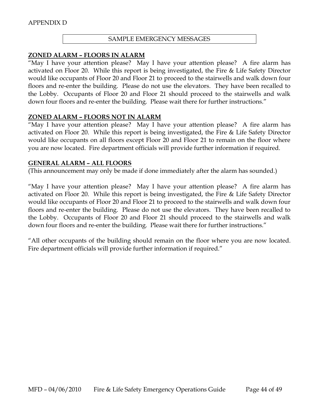## APPENDIX D

#### SAMPLE EMERGENCY MESSAGES

#### **ZONED ALARM – FLOORS IN ALARM**

"May I have your attention please? May I have your attention please? A fire alarm has activated on Floor 20. While this report is being investigated, the Fire & Life Safety Director would like occupants of Floor 20 and Floor 21 to proceed to the stairwells and walk down four floors and re-enter the building. Please do not use the elevators. They have been recalled to the Lobby. Occupants of Floor 20 and Floor 21 should proceed to the stairwells and walk down four floors and re-enter the building. Please wait there for further instructions."

#### **ZONED ALARM – FLOORS NOT IN ALARM**

"May I have your attention please? May I have your attention please? A fire alarm has activated on Floor 20. While this report is being investigated, the Fire & Life Safety Director would like occupants on all floors except Floor 20 and Floor 21 to remain on the floor where you are now located. Fire department officials will provide further information if required.

#### **GENERAL ALARM – ALL FLOORS**

(This announcement may only be made if done immediately after the alarm has sounded.)

"May I have your attention please? May I have your attention please? A fire alarm has activated on Floor 20. While this report is being investigated, the Fire & Life Safety Director would like occupants of Floor 20 and Floor 21 to proceed to the stairwells and walk down four floors and re-enter the building. Please do not use the elevators. They have been recalled to the Lobby. Occupants of Floor 20 and Floor 21 should proceed to the stairwells and walk down four floors and re-enter the building. Please wait there for further instructions."

"All other occupants of the building should remain on the floor where you are now located. Fire department officials will provide further information if required."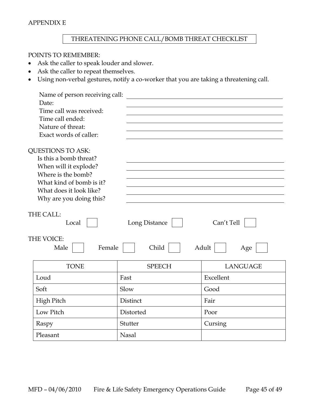## APPENDIX E

## THREATENING PHONE CALL/BOMB THREAT CHECKLIST

## POINTS TO REMEMBER:

- Ask the caller to speak louder and slower.
- Ask the caller to repeat themselves.
- Using non-verbal gestures, notify a co-worker that you are taking a threatening call.

| Name of person receiving call:                     |                        |                            |
|----------------------------------------------------|------------------------|----------------------------|
| Date:                                              |                        |                            |
| Time call was received:                            |                        |                            |
| Time call ended:                                   |                        |                            |
| Nature of threat:                                  |                        |                            |
| Exact words of caller:                             |                        |                            |
| <b>QUESTIONS TO ASK:</b>                           |                        |                            |
| Is this a bomb threat?                             |                        |                            |
| When will it explode?                              |                        |                            |
| Where is the bomb?                                 |                        |                            |
| What kind of bomb is it?                           |                        |                            |
| What does it look like?                            |                        |                            |
| Why are you doing this?                            |                        |                            |
| THE CALL:<br>Local<br>THE VOICE:<br>Female<br>Male | Long Distance<br>Child | Can't Tell<br>Adult<br>Age |
| <b>TONE</b>                                        | <b>SPEECH</b>          | <b>LANGUAGE</b>            |
| Loud                                               | Fast                   | Excellent                  |
| Soft                                               | Slow                   | Good                       |
| <b>High Pitch</b>                                  | Distinct               | Fair                       |
| Low Pitch                                          | Distorted              | Poor                       |
| Raspy                                              | Stutter                | Cursing                    |
| Pleasant                                           | <b>Nasal</b>           |                            |
|                                                    |                        |                            |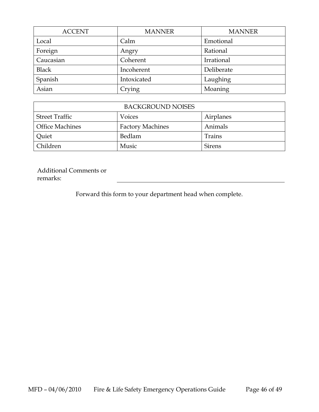| <b>ACCENT</b> | <b>MANNER</b> | <b>MANNER</b> |
|---------------|---------------|---------------|
| Local         | Calm          | Emotional     |
| Foreign       | Angry         | Rational      |
| Caucasian     | Coherent      | Irrational    |
| <b>Black</b>  | Incoherent    | Deliberate    |
| Spanish       | Intoxicated   | Laughing      |
| Asian         | Crying        | Moaning       |

| <b>BACKGROUND NOISES</b> |                         |               |  |
|--------------------------|-------------------------|---------------|--|
| <b>Street Traffic</b>    | <b>Voices</b>           | Airplanes     |  |
| <b>Office Machines</b>   | <b>Factory Machines</b> | Animals       |  |
| Quiet                    | Bedlam                  | Trains        |  |
| Children                 | Music                   | <b>Sirens</b> |  |

Additional Comments or remarks:

Forward this form to your department head when complete.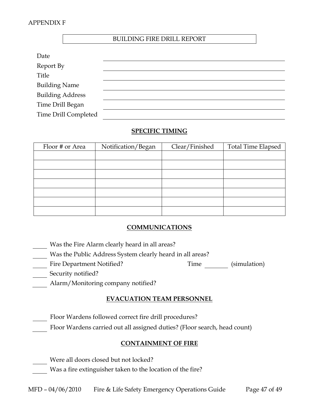## APPENDIX F

## BUILDING FIRE DRILL REPORT

| Date                    |  |
|-------------------------|--|
| Report By               |  |
| Title                   |  |
| <b>Building Name</b>    |  |
| <b>Building Address</b> |  |
| Time Drill Began        |  |
| Time Drill Completed    |  |

#### **SPECIFIC TIMING**

| Floor # or Area | Notification/Began | Clear/Finished | <b>Total Time Elapsed</b> |
|-----------------|--------------------|----------------|---------------------------|
|                 |                    |                |                           |
|                 |                    |                |                           |
|                 |                    |                |                           |
|                 |                    |                |                           |
|                 |                    |                |                           |
|                 |                    |                |                           |
|                 |                    |                |                           |

## **COMMUNICATIONS**

- Was the Fire Alarm clearly heard in all areas?
- Was the Public Address System clearly heard in all areas?
- Fire Department Notified? Time (simulation)
- Security notified?
- Alarm/Monitoring company notified?

## **EVACUATION TEAM PERSONNEL**

Floor Wardens followed correct fire drill procedures?

Floor Wardens carried out all assigned duties? (Floor search, head count)

## **CONTAINMENT OF FIRE**

Were all doors closed but not locked?

Was a fire extinguisher taken to the location of the fire?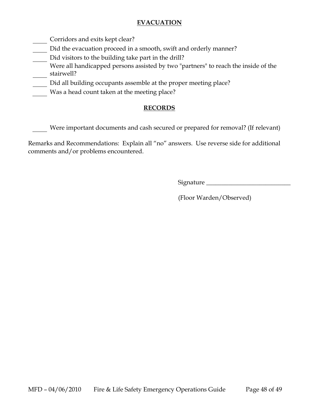## **EVACUATION**

Corridors and exits kept clear?

- Did the evacuation proceed in a smooth, swift and orderly manner?
- Did visitors to the building take part in the drill?
- Were all handicapped persons assisted by two "partners" to reach the inside of the stairwell?
- Did all building occupants assemble at the proper meeting place?
- Was a head count taken at the meeting place?

## **RECORDS**

Were important documents and cash secured or prepared for removal? (If relevant)

Remarks and Recommendations: Explain all "no" answers. Use reverse side for additional comments and/or problems encountered.

Signature \_\_\_\_\_\_\_\_\_\_\_\_\_\_\_\_\_\_\_\_\_\_\_\_\_\_\_

(Floor Warden/Observed)